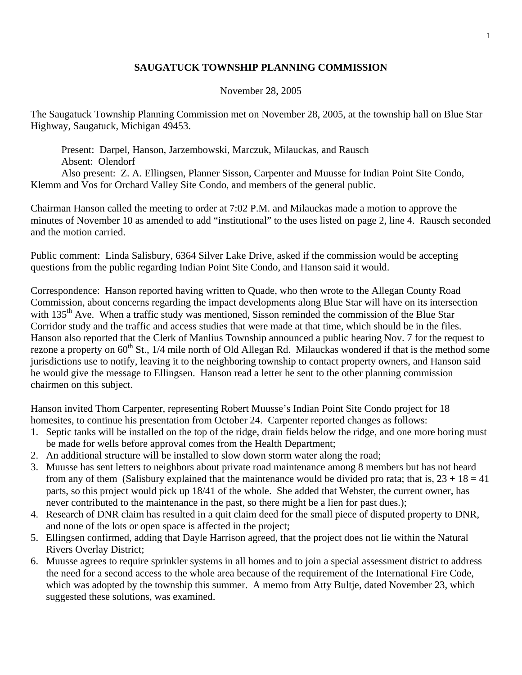## **SAUGATUCK TOWNSHIP PLANNING COMMISSION**

## November 28, 2005

The Saugatuck Township Planning Commission met on November 28, 2005, at the township hall on Blue Star Highway, Saugatuck, Michigan 49453.

 Present: Darpel, Hanson, Jarzembowski, Marczuk, Milauckas, and Rausch Absent: Olendorf Also present: Z. A. Ellingsen, Planner Sisson, Carpenter and Muusse for Indian Point Site Condo, Klemm and Vos for Orchard Valley Site Condo, and members of the general public.

Chairman Hanson called the meeting to order at 7:02 P.M. and Milauckas made a motion to approve the minutes of November 10 as amended to add "institutional" to the uses listed on page 2, line 4. Rausch seconded and the motion carried.

Public comment: Linda Salisbury, 6364 Silver Lake Drive, asked if the commission would be accepting questions from the public regarding Indian Point Site Condo, and Hanson said it would.

Correspondence: Hanson reported having written to Quade, who then wrote to the Allegan County Road Commission, about concerns regarding the impact developments along Blue Star will have on its intersection with 135<sup>th</sup> Ave. When a traffic study was mentioned, Sisson reminded the commission of the Blue Star Corridor study and the traffic and access studies that were made at that time, which should be in the files. Hanson also reported that the Clerk of Manlius Township announced a public hearing Nov. 7 for the request to rezone a property on 60<sup>th</sup> St., 1/4 mile north of Old Allegan Rd. Milauckas wondered if that is the method some jurisdictions use to notify, leaving it to the neighboring township to contact property owners, and Hanson said he would give the message to Ellingsen. Hanson read a letter he sent to the other planning commission chairmen on this subject.

Hanson invited Thom Carpenter, representing Robert Muusse's Indian Point Site Condo project for 18 homesites, to continue his presentation from October 24. Carpenter reported changes as follows:

- 1. Septic tanks will be installed on the top of the ridge, drain fields below the ridge, and one more boring must be made for wells before approval comes from the Health Department;
- 2. An additional structure will be installed to slow down storm water along the road;
- 3. Muusse has sent letters to neighbors about private road maintenance among 8 members but has not heard from any of them (Salisbury explained that the maintenance would be divided pro rata; that is,  $23 + 18 = 41$ parts, so this project would pick up 18/41 of the whole. She added that Webster, the current owner, has never contributed to the maintenance in the past, so there might be a lien for past dues.);
- 4. Research of DNR claim has resulted in a quit claim deed for the small piece of disputed property to DNR, and none of the lots or open space is affected in the project;
- 5. Ellingsen confirmed, adding that Dayle Harrison agreed, that the project does not lie within the Natural Rivers Overlay District;
- 6. Muusse agrees to require sprinkler systems in all homes and to join a special assessment district to address the need for a second access to the whole area because of the requirement of the International Fire Code, which was adopted by the township this summer. A memo from Atty Bultje, dated November 23, which suggested these solutions, was examined.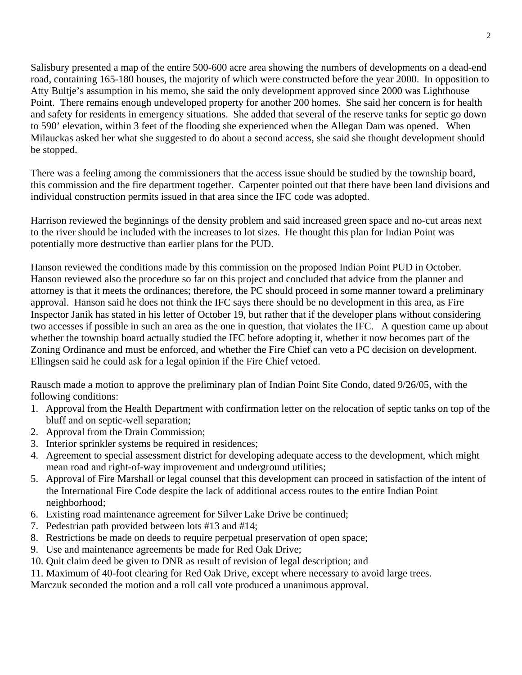Salisbury presented a map of the entire 500-600 acre area showing the numbers of developments on a dead-end road, containing 165-180 houses, the majority of which were constructed before the year 2000. In opposition to Atty Bultje's assumption in his memo, she said the only development approved since 2000 was Lighthouse Point. There remains enough undeveloped property for another 200 homes. She said her concern is for health and safety for residents in emergency situations. She added that several of the reserve tanks for septic go down to 590' elevation, within 3 feet of the flooding she experienced when the Allegan Dam was opened. When Milauckas asked her what she suggested to do about a second access, she said she thought development should be stopped.

There was a feeling among the commissioners that the access issue should be studied by the township board, this commission and the fire department together. Carpenter pointed out that there have been land divisions and individual construction permits issued in that area since the IFC code was adopted.

Harrison reviewed the beginnings of the density problem and said increased green space and no-cut areas next to the river should be included with the increases to lot sizes. He thought this plan for Indian Point was potentially more destructive than earlier plans for the PUD.

Hanson reviewed the conditions made by this commission on the proposed Indian Point PUD in October. Hanson reviewed also the procedure so far on this project and concluded that advice from the planner and attorney is that it meets the ordinances; therefore, the PC should proceed in some manner toward a preliminary approval. Hanson said he does not think the IFC says there should be no development in this area, as Fire Inspector Janik has stated in his letter of October 19, but rather that if the developer plans without considering two accesses if possible in such an area as the one in question, that violates the IFC. A question came up about whether the township board actually studied the IFC before adopting it, whether it now becomes part of the Zoning Ordinance and must be enforced, and whether the Fire Chief can veto a PC decision on development. Ellingsen said he could ask for a legal opinion if the Fire Chief vetoed.

Rausch made a motion to approve the preliminary plan of Indian Point Site Condo, dated 9/26/05, with the following conditions:

- 1. Approval from the Health Department with confirmation letter on the relocation of septic tanks on top of the bluff and on septic-well separation;
- 2. Approval from the Drain Commission;
- 3. Interior sprinkler systems be required in residences;
- 4. Agreement to special assessment district for developing adequate access to the development, which might mean road and right-of-way improvement and underground utilities;
- 5. Approval of Fire Marshall or legal counsel that this development can proceed in satisfaction of the intent of the International Fire Code despite the lack of additional access routes to the entire Indian Point neighborhood;
- 6. Existing road maintenance agreement for Silver Lake Drive be continued;
- 7. Pedestrian path provided between lots #13 and #14;
- 8. Restrictions be made on deeds to require perpetual preservation of open space;
- 9. Use and maintenance agreements be made for Red Oak Drive;
- 10. Quit claim deed be given to DNR as result of revision of legal description; and
- 11. Maximum of 40-foot clearing for Red Oak Drive, except where necessary to avoid large trees.

Marczuk seconded the motion and a roll call vote produced a unanimous approval.